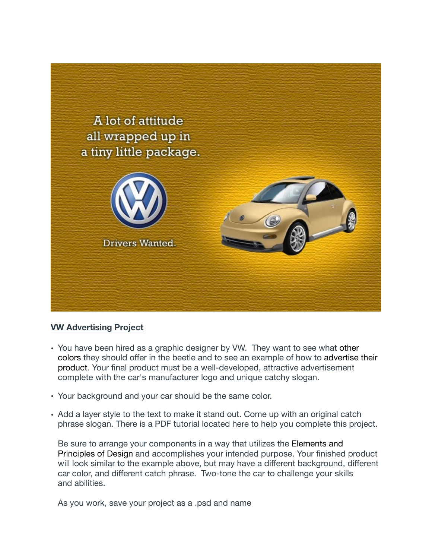

## **VW Advertising Project**

- You have been hired as a graphic designer by VW. They want to see what other colors they should offer in the beetle and to see an example of how to advertise their product. Your final product must be a well-developed, attractive advertisement complete with the car's manufacturer logo and unique catchy slogan.
- Your background and your car should be the same color.
- Add a layer style to the text to make it stand out. Come up with an original catch phrase slogan. There is a PDF tutorial located here to help you complete this project.

Be sure to arrange your components in a way that utilizes the Elements and Principles of Design and accomplishes your intended purpose. Your finished product will look similar to the example above, but may have a different background, different car color, and different catch phrase. Two-tone the car to challenge your skills and abilities.

As you work, save your project as a .psd and name